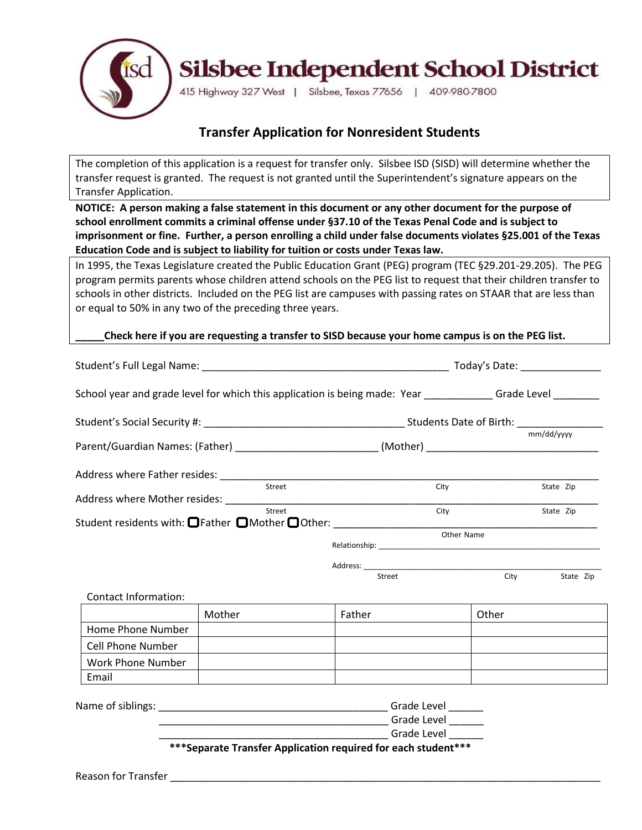

## **Transfer Application for Nonresident Students**

The completion of this application is a request for transfer only. Silsbee ISD (SISD) will determine whether the transfer request is granted. The request is not granted until the Superintendent's signature appears on the Transfer Application.

**NOTICE: A person making a false statement in this document or any other document for the purpose of school enrollment commits a criminal offense under §37.10 of the Texas Penal Code and is subject to imprisonment or fine. Further, a person enrolling a child under false documents violates §25.001 of the Texas Education Code and is subject to liability for tuition or costs under Texas law.**

In 1995, the Texas Legislature created the Public Education Grant (PEG) program (TEC §29.201-29.205). The PEG program permits parents whose children attend schools on the PEG list to request that their children transfer to schools in other districts. Included on the PEG list are campuses with passing rates on STAAR that are less than or equal to 50% in any two of the preceding three years.

#### **\_\_\_\_\_Check here if you are requesting a transfer to SISD because your home campus is on the PEG list.**

|                          |        | School year and grade level for which this application is being made: Year ______________Grade Level _________                                                                                                                       |            |            |
|--------------------------|--------|--------------------------------------------------------------------------------------------------------------------------------------------------------------------------------------------------------------------------------------|------------|------------|
|                          |        |                                                                                                                                                                                                                                      |            |            |
|                          |        | Parent/Guardian Names: (Father) ____________________________(Mother) _______________________________                                                                                                                                 |            | mm/dd/yyyy |
|                          |        |                                                                                                                                                                                                                                      |            |            |
|                          | Street | City                                                                                                                                                                                                                                 |            | State Zip  |
|                          | Street | City                                                                                                                                                                                                                                 |            | State Zip  |
|                          |        | Student residents with: OFather OMother OOther: ________________________________                                                                                                                                                     |            |            |
|                          |        |                                                                                                                                                                                                                                      | Other Name |            |
|                          |        |                                                                                                                                                                                                                                      |            |            |
|                          |        | Street                                                                                                                                                                                                                               | City       | State Zip  |
| Contact Information:     |        |                                                                                                                                                                                                                                      |            |            |
|                          | Mother | Father                                                                                                                                                                                                                               | Other      |            |
| Home Phone Number        |        |                                                                                                                                                                                                                                      |            |            |
| <b>Cell Phone Number</b> |        |                                                                                                                                                                                                                                      |            |            |
| Work Phone Number        |        |                                                                                                                                                                                                                                      |            |            |
| Email                    |        |                                                                                                                                                                                                                                      |            |            |
|                          |        |                                                                                                                                                                                                                                      |            |            |
|                          |        |                                                                                                                                                                                                                                      |            |            |
|                          |        |                                                                                                                                                                                                                                      |            |            |
|                          |        | <b>Canadian Contract Contract Contract Contract Contract Contract Contract Contract Contract Contract Contract Contract Contract Contract Contract Contract Contract Contract Contract Contract Contract Contract Contract Contr</b> |            |            |
|                          |        | *** Separate Transfer Application required for each student ***                                                                                                                                                                      |            |            |

Reason for Transfer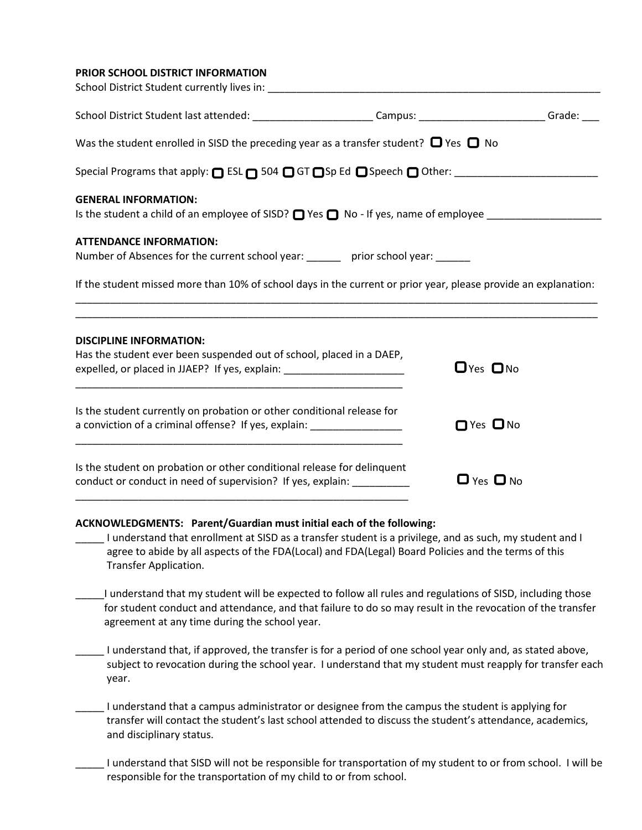#### **PRIOR SCHOOL DISTRICT INFORMATION**

| School District Student last attended: ___________________________Campus: _________________________Grade: ____                                                                             |                      |
|--------------------------------------------------------------------------------------------------------------------------------------------------------------------------------------------|----------------------|
| Was the student enrolled in SISD the preceding year as a transfer student? $\Box$ Yes $\Box$ No                                                                                            |                      |
|                                                                                                                                                                                            |                      |
| <b>GENERAL INFORMATION:</b><br>Is the student a child of an employee of SISD? $\Box$ Yes $\Box$ No - If yes, name of employee $\_\_$                                                       |                      |
| <b>ATTENDANCE INFORMATION:</b><br>Number of Absences for the current school year: _______ prior school year: _____                                                                         |                      |
| If the student missed more than 10% of school days in the current or prior year, please provide an explanation:                                                                            |                      |
| <b>DISCIPLINE INFORMATION:</b><br>Has the student ever been suspended out of school, placed in a DAEP,<br>expelled, or placed in JJAEP? If yes, explain: _________________________________ | $DYes DNo$           |
| Is the student currently on probation or other conditional release for<br>a conviction of a criminal offense? If yes, explain: ___________________________                                 | □ Yes □ No           |
| Is the student on probation or other conditional release for delinquent<br>conduct or conduct in need of supervision? If yes, explain: ___________                                         | $\Box$ Yes $\Box$ No |

#### **ACKNOWLEDGMENTS: Parent/Guardian must initial each of the following:**

- \_\_\_\_\_ I understand that enrollment at SISD as a transfer student is a privilege, and as such, my student and I agree to abide by all aspects of the FDA(Local) and FDA(Legal) Board Policies and the terms of this Transfer Application.
- \_\_\_\_\_I understand that my student will be expected to follow all rules and regulations of SISD, including those for student conduct and attendance, and that failure to do so may result in the revocation of the transfer agreement at any time during the school year.
- \_\_\_\_\_ I understand that, if approved, the transfer is for a period of one school year only and, as stated above, subject to revocation during the school year. I understand that my student must reapply for transfer each year.
- \_\_\_\_\_ I understand that a campus administrator or designee from the campus the student is applying for transfer will contact the student's last school attended to discuss the student's attendance, academics, and disciplinary status.
- \_\_\_\_\_ I understand that SISD will not be responsible for transportation of my student to or from school. I will be responsible for the transportation of my child to or from school.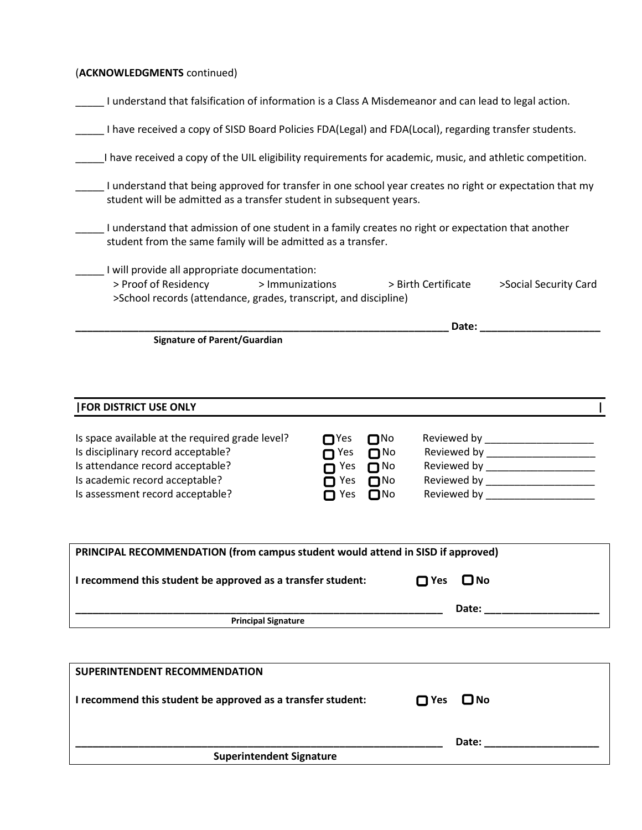## (**ACKNOWLEDGMENTS** continued)

Г

| I understand that falsification of information is a Class A Misdemeanor and can lead to legal action.                                                                                           |                                                                               |                                                                  |                            |                                                                                                                  |
|-------------------------------------------------------------------------------------------------------------------------------------------------------------------------------------------------|-------------------------------------------------------------------------------|------------------------------------------------------------------|----------------------------|------------------------------------------------------------------------------------------------------------------|
| I have received a copy of SISD Board Policies FDA(Legal) and FDA(Local), regarding transfer students.                                                                                           |                                                                               |                                                                  |                            |                                                                                                                  |
| I have received a copy of the UIL eligibility requirements for academic, music, and athletic competition.                                                                                       |                                                                               |                                                                  |                            |                                                                                                                  |
| I understand that being approved for transfer in one school year creates no right or expectation that my<br>student will be admitted as a transfer student in subsequent years.                 |                                                                               |                                                                  |                            |                                                                                                                  |
| I understand that admission of one student in a family creates no right or expectation that another<br>student from the same family will be admitted as a transfer.                             |                                                                               |                                                                  |                            |                                                                                                                  |
| I will provide all appropriate documentation:<br>> Proof of Residency<br>> Immunizations<br>>School records (attendance, grades, transcript, and discipline)                                    |                                                                               |                                                                  | > Birth Certificate        | >Social Security Card                                                                                            |
|                                                                                                                                                                                                 |                                                                               |                                                                  |                            | Date: _____________                                                                                              |
|                                                                                                                                                                                                 |                                                                               |                                                                  |                            |                                                                                                                  |
| <b>FOR DISTRICT USE ONLY</b>                                                                                                                                                                    |                                                                               |                                                                  |                            |                                                                                                                  |
| Is space available at the required grade level?<br>Is disciplinary record acceptable?<br>Is attendance record acceptable?<br>Is academic record acceptable?<br>Is assessment record acceptable? | $\Box$ Yes<br>∩ Yes<br>$\mathsf{\Pi}$ Yes<br>$\blacksquare$ Yes<br>$\Box$ Yes | $\Box$ No<br>$\Box$ No<br>$\Box$ No<br>$\Box$ No<br>$\square$ No |                            | Reviewed by ________________________<br>Reviewed by ______________________<br>Reviewed by ______________________ |
| PRINCIPAL RECOMMENDATION (from campus student would attend in SISD if approved)<br>I recommend this student be approved as a transfer student:                                                  |                                                                               |                                                                  | $\square$ No<br>$\Box$ Yes |                                                                                                                  |
|                                                                                                                                                                                                 |                                                                               |                                                                  |                            | Date: ______________                                                                                             |
| <b>Principal Signature</b>                                                                                                                                                                      |                                                                               |                                                                  |                            |                                                                                                                  |
|                                                                                                                                                                                                 |                                                                               |                                                                  |                            |                                                                                                                  |

| <b>Superintendent Signature</b> | Date: |  |
|---------------------------------|-------|--|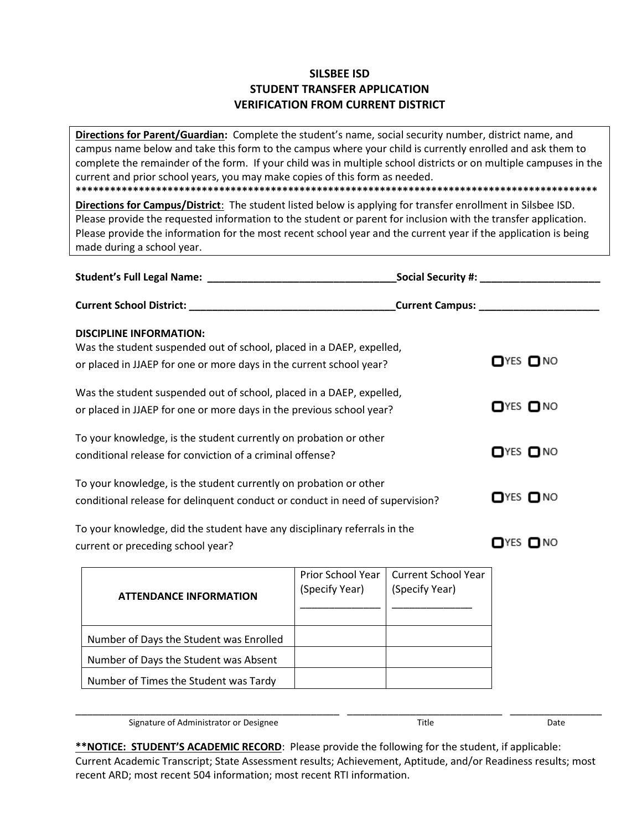## **SILSBEE ISD STUDENT TRANSFER APPLICATION VERIFICATION FROM CURRENT DISTRICT**

**Directions for Parent/Guardian:** Complete the student's name, social security number, district name, and campus name below and take this form to the campus where your child is currently enrolled and ask them to complete the remainder of the form. If your child was in multiple school districts or on multiple campuses in the current and prior school years, you may make copies of this form as needed. **\*\*\*\*\*\*\*\*\*\*\*\*\*\*\*\*\*\*\*\*\*\*\*\*\*\*\*\*\*\*\*\*\*\*\*\*\*\*\*\*\*\*\*\*\*\*\*\*\*\*\*\*\*\*\*\*\*\*\*\*\*\*\*\*\*\*\*\*\*\*\*\*\*\*\*\*\*\*\*\*\*\*\*\*\*\*\*\*\*\*\***

**Directions for Campus/District**: The student listed below is applying for transfer enrollment in Silsbee ISD. Please provide the requested information to the student or parent for inclusion with the transfer application. Please provide the information for the most recent school year and the current year if the application is being made during a school year.

|                                                                                                                                                                               |                                                   |                                              | _Social Security #: __________________________ |
|-------------------------------------------------------------------------------------------------------------------------------------------------------------------------------|---------------------------------------------------|----------------------------------------------|------------------------------------------------|
|                                                                                                                                                                               | <b>_Current Campus: _________________________</b> |                                              |                                                |
| <b>DISCIPLINE INFORMATION:</b><br>Was the student suspended out of school, placed in a DAEP, expelled,<br>or placed in JJAEP for one or more days in the current school year? |                                                   |                                              | $\Box$ YES $\Box$ NO                           |
| Was the student suspended out of school, placed in a DAEP, expelled,<br>or placed in JJAEP for one or more days in the previous school year?                                  |                                                   |                                              | $\Box$ YES $\Box$ NO                           |
| To your knowledge, is the student currently on probation or other<br>conditional release for conviction of a criminal offense?                                                |                                                   |                                              | $\Box$ YES $\Box$ NO                           |
| To your knowledge, is the student currently on probation or other<br>conditional release for delinquent conduct or conduct in need of supervision?                            |                                                   |                                              | $\Box$ YES $\Box$ NO                           |
| To your knowledge, did the student have any disciplinary referrals in the<br>current or preceding school year?                                                                |                                                   |                                              | $\Box$ YES $\Box$ NO                           |
| <b>ATTENDANCE INFORMATION</b>                                                                                                                                                 | Prior School Year<br>(Specify Year)               | <b>Current School Year</b><br>(Specify Year) |                                                |
| Number of Days the Student was Enrolled                                                                                                                                       |                                                   |                                              |                                                |
| Number of Days the Student was Absent                                                                                                                                         |                                                   |                                              |                                                |
| Number of Times the Student was Tardy                                                                                                                                         |                                                   |                                              |                                                |
|                                                                                                                                                                               |                                                   |                                              |                                                |

Signature of Administrator or Designee The Communication of Administrator or Designee Title Date

**<sup>\*\*</sup>NOTICE: STUDENT'S ACADEMIC RECORD**: Please provide the following for the student, if applicable: Current Academic Transcript; State Assessment results; Achievement, Aptitude, and/or Readiness results; most recent ARD; most recent 504 information; most recent RTI information.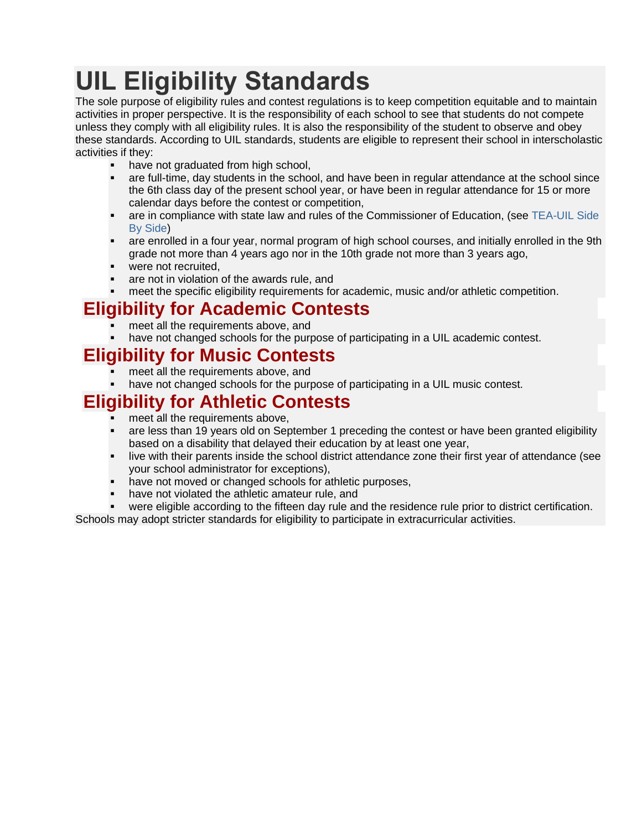# **UIL Eligibility Standards**

The sole purpose of eligibility rules and contest regulations is to keep competition equitable and to maintain activities in proper perspective. It is the responsibility of each school to see that students do not compete unless they comply with all eligibility rules. It is also the responsibility of the student to observe and obey these standards. According to UIL standards, students are eligible to represent their school in interscholastic activities if they:

- have not graduated from high school,
- are full-time, day students in the school, and have been in regular attendance at the school since the 6th class day of the present school year, or have been in regular attendance for 15 or more calendar days before the contest or competition,
- are in compliance with state law and rules of the Commissioner of Education, (see TEA-UIL Side [By Side\)](https://www.uiltexas.org/policy/tea-uil-side-by-side)
- are enrolled in a four year, normal program of high school courses, and initially enrolled in the 9th grade not more than 4 years ago nor in the 10th grade not more than 3 years ago,
- were not recruited,
- are not in violation of the awards rule, and
- meet the specific eligibility requirements for academic, music and/or athletic competition.

## **Eligibility for Academic Contests**

- meet all the requirements above, and
- have not changed schools for the purpose of participating in a UIL academic contest.

# **Eligibility for Music Contests**

- meet all the requirements above, and
- have not changed schools for the purpose of participating in a UIL music contest.

# **Eligibility for Athletic Contests**

- meet all the requirements above,
- are less than 19 years old on September 1 preceding the contest or have been granted eligibility based on a disability that delayed their education by at least one year,
- live with their parents inside the school district attendance zone their first year of attendance (see your school administrator for exceptions),
- have not moved or changed schools for athletic purposes,
- have not violated the athletic amateur rule, and
- were eligible according to the fifteen day rule and the residence rule prior to district certification.

Schools may adopt stricter standards for eligibility to participate in extracurricular activities.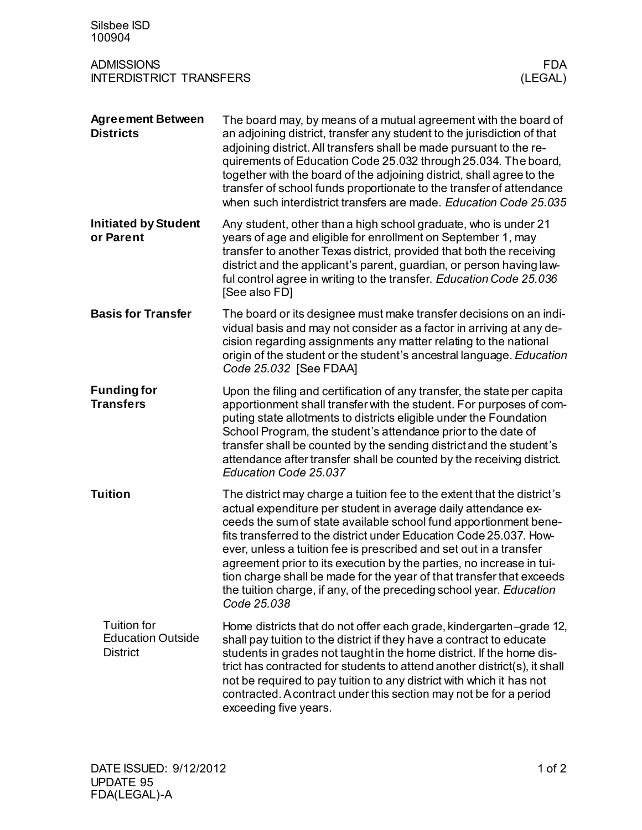| Silsbee ISD<br>100904                                             |                                                                                                                                                                                                                                                                                                                                                                                                                                                                                                                                                                                                 |
|-------------------------------------------------------------------|-------------------------------------------------------------------------------------------------------------------------------------------------------------------------------------------------------------------------------------------------------------------------------------------------------------------------------------------------------------------------------------------------------------------------------------------------------------------------------------------------------------------------------------------------------------------------------------------------|
| <b>ADMISSIONS</b><br><b>INTERDISTRICT TRANSFERS</b>               | <b>FDA</b><br>(LEGAL)                                                                                                                                                                                                                                                                                                                                                                                                                                                                                                                                                                           |
| <b>Agreement Between</b><br><b>Districts</b>                      | The board may, by means of a mutual agreement with the board of<br>an adjoining district, transfer any student to the jurisdiction of that<br>adjoining district. All transfers shall be made pursuant to the re-<br>quirements of Education Code 25.032 through 25.034. The board,<br>together with the board of the adjoining district, shall agree to the<br>transfer of school funds proportionate to the transfer of attendance<br>when such interdistrict transfers are made. Education Code 25.035                                                                                       |
| <b>Initiated by Student</b><br>or Parent                          | Any student, other than a high school graduate, who is under 21<br>years of age and eligible for enrollment on September 1, may<br>transfer to another Texas district, provided that both the receiving<br>district and the applicant's parent, guardian, or person having law-<br>ful control agree in writing to the transfer. Education Code 25.036<br>[See also FD]                                                                                                                                                                                                                         |
| <b>Basis for Transfer</b>                                         | The board or its designee must make transfer decisions on an indi-<br>vidual basis and may not consider as a factor in arriving at any de-<br>cision regarding assignments any matter relating to the national<br>origin of the student or the student's ancestral language. Education<br>Code 25.032 [See FDAA]                                                                                                                                                                                                                                                                                |
| <b>Funding for</b><br><b>Transfers</b>                            | Upon the filing and certification of any transfer, the state per capita<br>apportionment shall transfer with the student. For purposes of com-<br>puting state allotments to districts eligible under the Foundation<br>School Program, the student's attendance prior to the date of<br>transfer shall be counted by the sending district and the student's<br>attendance after transfer shall be counted by the receiving district.<br>Education Code 25.037                                                                                                                                  |
| <b>Tuition</b>                                                    | The district may charge a tuition fee to the extent that the district's<br>actual expenditure per student in average daily attendance ex-<br>ceeds the sum of state available school fund apportionment bene-<br>fits transferred to the district under Education Code 25.037. How-<br>ever, unless a tuition fee is prescribed and set out in a transfer<br>agreement prior to its execution by the parties, no increase in tui-<br>tion charge shall be made for the year of that transfer that exceeds<br>the tuition charge, if any, of the preceding school year. Education<br>Code 25.038 |
| <b>Tuition for</b><br><b>Education Outside</b><br><b>District</b> | Home districts that do not offer each grade, kindergarten-grade 12,<br>shall pay tuition to the district if they have a contract to educate<br>students in grades not taught in the home district. If the home dis-<br>trict has contracted for students to attend another district(s), it shall<br>not be required to pay tuition to any district with which it has not<br>contracted. A contract under this section may not be for a period<br>exceeding five years.                                                                                                                          |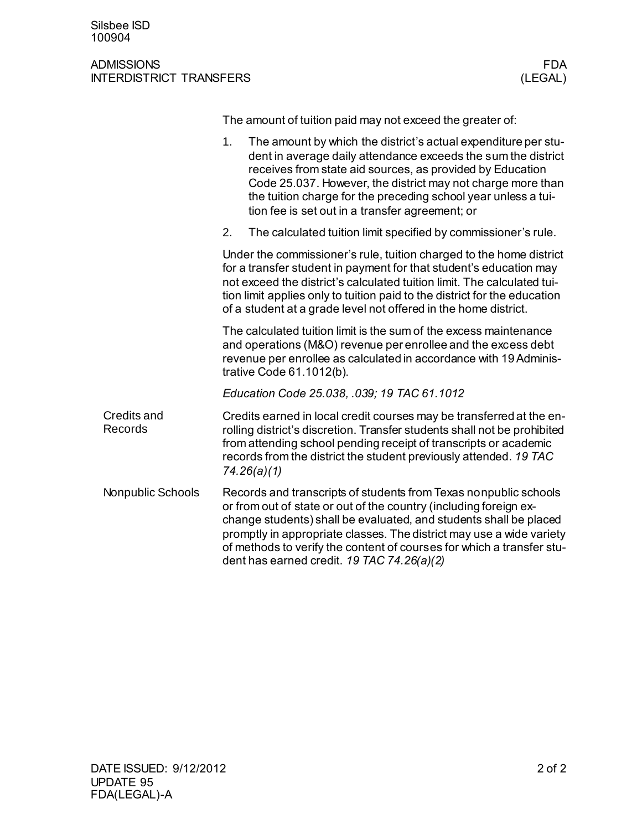## ADMISSIONS FDA INTERDISTRICT TRANSFERS

The amount of tuition paid may not exceed the greater of:

|                        | 1 <sub>1</sub><br>The amount by which the district's actual expenditure per stu-<br>dent in average daily attendance exceeds the sum the district<br>receives from state aid sources, as provided by Education<br>Code 25.037. However, the district may not charge more than<br>the tuition charge for the preceding school year unless a tui-<br>tion fee is set out in a transfer agreement; or        |
|------------------------|-----------------------------------------------------------------------------------------------------------------------------------------------------------------------------------------------------------------------------------------------------------------------------------------------------------------------------------------------------------------------------------------------------------|
|                        | 2.<br>The calculated tuition limit specified by commissioner's rule.                                                                                                                                                                                                                                                                                                                                      |
|                        | Under the commissioner's rule, tuition charged to the home district<br>for a transfer student in payment for that student's education may<br>not exceed the district's calculated tuition limit. The calculated tui-<br>tion limit applies only to tuition paid to the district for the education<br>of a student at a grade level not offered in the home district.                                      |
|                        | The calculated tuition limit is the sum of the excess maintenance<br>and operations (M&O) revenue per enrollee and the excess debt<br>revenue per enrollee as calculated in accordance with 19 Adminis-<br>trative Code 61.1012(b).                                                                                                                                                                       |
|                        | Education Code 25.038, .039; 19 TAC 61.1012                                                                                                                                                                                                                                                                                                                                                               |
| Credits and<br>Records | Credits earned in local credit courses may be transferred at the en-<br>rolling district's discretion. Transfer students shall not be prohibited<br>from attending school pending receipt of transcripts or academic<br>records from the district the student previously attended. 19 TAC<br>74.26(a)(1)                                                                                                  |
| Nonpublic Schools      | Records and transcripts of students from Texas nonpublic schools<br>or from out of state or out of the country (including foreign ex-<br>change students) shall be evaluated, and students shall be placed<br>promptly in appropriate classes. The district may use a wide variety<br>of methods to verify the content of courses for which a transfer stu-<br>dent has earned credit. 19 TAC 74.26(a)(2) |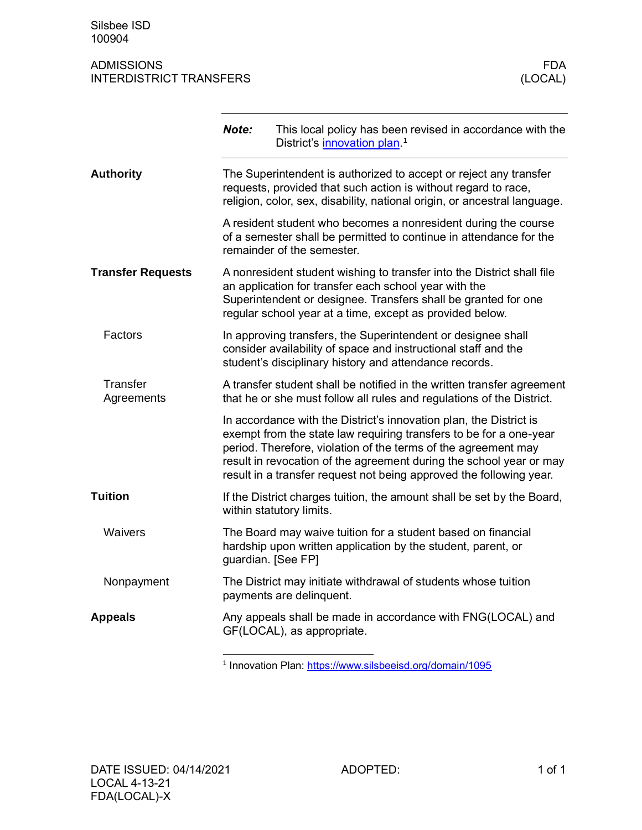## ADMISSIONS FDA INTERDISTRICT TRANSFERS

|                               | Note:              | This local policy has been revised in accordance with the<br>District's innovation plan. <sup>1</sup>                                                                                                                                                                                                                                                    |
|-------------------------------|--------------------|----------------------------------------------------------------------------------------------------------------------------------------------------------------------------------------------------------------------------------------------------------------------------------------------------------------------------------------------------------|
| <b>Authority</b>              |                    | The Superintendent is authorized to accept or reject any transfer<br>requests, provided that such action is without regard to race,<br>religion, color, sex, disability, national origin, or ancestral language.                                                                                                                                         |
|                               |                    | A resident student who becomes a nonresident during the course<br>of a semester shall be permitted to continue in attendance for the<br>remainder of the semester.                                                                                                                                                                                       |
| <b>Transfer Requests</b>      |                    | A nonresident student wishing to transfer into the District shall file<br>an application for transfer each school year with the<br>Superintendent or designee. Transfers shall be granted for one<br>regular school year at a time, except as provided below.                                                                                            |
| Factors                       |                    | In approving transfers, the Superintendent or designee shall<br>consider availability of space and instructional staff and the<br>student's disciplinary history and attendance records.                                                                                                                                                                 |
| <b>Transfer</b><br>Agreements |                    | A transfer student shall be notified in the written transfer agreement<br>that he or she must follow all rules and regulations of the District.                                                                                                                                                                                                          |
|                               |                    | In accordance with the District's innovation plan, the District is<br>exempt from the state law requiring transfers to be for a one-year<br>period. Therefore, violation of the terms of the agreement may<br>result in revocation of the agreement during the school year or may<br>result in a transfer request not being approved the following year. |
| <b>Tuition</b>                |                    | If the District charges tuition, the amount shall be set by the Board,<br>within statutory limits.                                                                                                                                                                                                                                                       |
| Waivers                       | guardian. [See FP] | The Board may waive tuition for a student based on financial<br>hardship upon written application by the student, parent, or                                                                                                                                                                                                                             |
| Nonpayment                    |                    | The District may initiate withdrawal of students whose tuition<br>payments are delinquent.                                                                                                                                                                                                                                                               |
| <b>Appeals</b>                |                    | Any appeals shall be made in accordance with FNG(LOCAL) and<br>GF(LOCAL), as appropriate.                                                                                                                                                                                                                                                                |

<sup>1</sup> Innovation Plan: https://www.silsbeeisd.org/domain/1095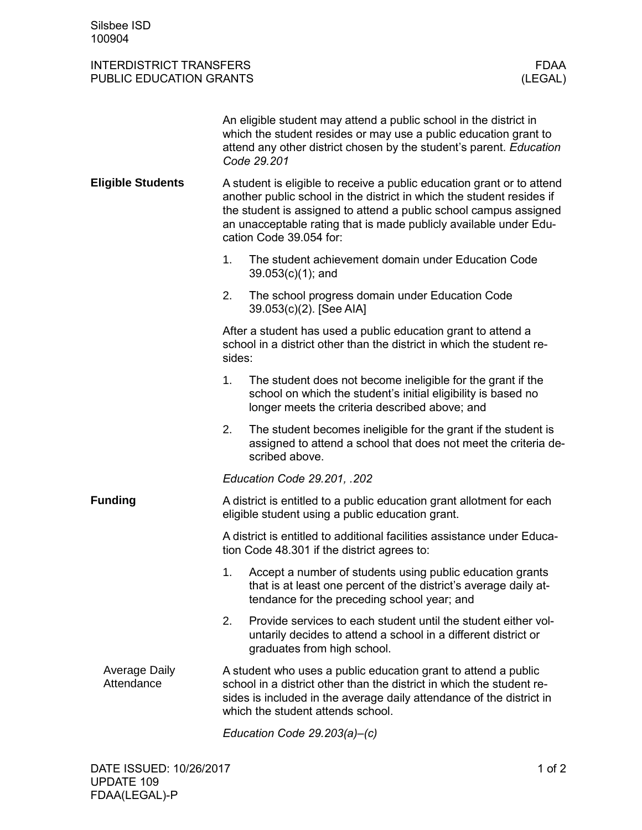## INTERDISTRICT TRANSFERS FDAA FOR THE TRANSFERS FOR THE TRANSFERS FOR THE TRANSFERS TRANSMITTED ASSAULT TO A TH<br>THE FOUCATION GRANTS TRANSMITTED ASSAULT TO A THE TRANSMITTED ASSAULT TO A THE TRANSMITTED ASSAULT. PUBLIC EDUCATION GRANTS

|                                    |                                                                                                                                                                                                                                                                                                                      | An eligible student may attend a public school in the district in<br>which the student resides or may use a public education grant to<br>attend any other district chosen by the student's parent. Education<br>Code 29.201                          |  |
|------------------------------------|----------------------------------------------------------------------------------------------------------------------------------------------------------------------------------------------------------------------------------------------------------------------------------------------------------------------|------------------------------------------------------------------------------------------------------------------------------------------------------------------------------------------------------------------------------------------------------|--|
| <b>Eligible Students</b>           | A student is eligible to receive a public education grant or to attend<br>another public school in the district in which the student resides if<br>the student is assigned to attend a public school campus assigned<br>an unacceptable rating that is made publicly available under Edu-<br>cation Code 39.054 for: |                                                                                                                                                                                                                                                      |  |
|                                    | 1.                                                                                                                                                                                                                                                                                                                   | The student achievement domain under Education Code<br>$39.053(c)(1)$ ; and                                                                                                                                                                          |  |
|                                    | 2.                                                                                                                                                                                                                                                                                                                   | The school progress domain under Education Code<br>39.053(c)(2). [See AIA]                                                                                                                                                                           |  |
|                                    | sides:                                                                                                                                                                                                                                                                                                               | After a student has used a public education grant to attend a<br>school in a district other than the district in which the student re-                                                                                                               |  |
|                                    | 1.                                                                                                                                                                                                                                                                                                                   | The student does not become ineligible for the grant if the<br>school on which the student's initial eligibility is based no<br>longer meets the criteria described above; and                                                                       |  |
|                                    | 2.                                                                                                                                                                                                                                                                                                                   | The student becomes ineligible for the grant if the student is<br>assigned to attend a school that does not meet the criteria de-<br>scribed above.                                                                                                  |  |
|                                    |                                                                                                                                                                                                                                                                                                                      | Education Code 29.201, .202                                                                                                                                                                                                                          |  |
| <b>Funding</b>                     |                                                                                                                                                                                                                                                                                                                      | A district is entitled to a public education grant allotment for each<br>eligible student using a public education grant.                                                                                                                            |  |
|                                    |                                                                                                                                                                                                                                                                                                                      | A district is entitled to additional facilities assistance under Educa-<br>tion Code 48.301 if the district agrees to:                                                                                                                               |  |
|                                    | 1.                                                                                                                                                                                                                                                                                                                   | Accept a number of students using public education grants<br>that is at least one percent of the district's average daily at-<br>tendance for the preceding school year; and                                                                         |  |
|                                    | 2.                                                                                                                                                                                                                                                                                                                   | Provide services to each student until the student either vol-<br>untarily decides to attend a school in a different district or<br>graduates from high school.                                                                                      |  |
| <b>Average Daily</b><br>Attendance |                                                                                                                                                                                                                                                                                                                      | A student who uses a public education grant to attend a public<br>school in a district other than the district in which the student re-<br>sides is included in the average daily attendance of the district in<br>which the student attends school. |  |
|                                    |                                                                                                                                                                                                                                                                                                                      | Education Code 29.203(a)-(c)                                                                                                                                                                                                                         |  |